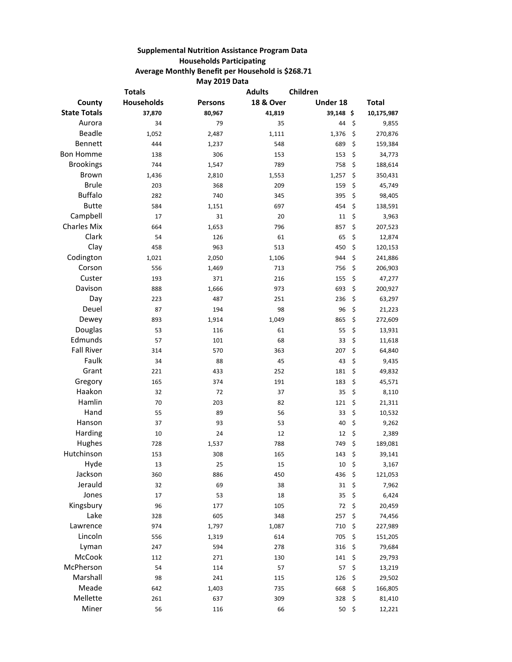## **Supplemental Nutrition Assistance Program Data Households Participating Average Monthly Benefit per Household is \$268.71 May 2019 Data**

|                     | <b>Totals</b> |                | <b>Adults</b>        | Children  |               |
|---------------------|---------------|----------------|----------------------|-----------|---------------|
| County              | Households    | <b>Persons</b> | <b>18 &amp; Over</b> | Under 18  | <b>Total</b>  |
| <b>State Totals</b> | 37,870        | 80,967         | 41,819               | 39,148 \$ | 10,175,987    |
| Aurora              | 34            | 79             | 35                   | 44        | \$<br>9,855   |
| <b>Beadle</b>       | 1,052         | 2,487          | 1,111                | 1,376     | \$<br>270,876 |
| Bennett             | 444           | 1,237          | 548                  | 689       | \$<br>159,384 |
| <b>Bon Homme</b>    | 138           | 306            | 153                  | 153       | \$<br>34,773  |
| <b>Brookings</b>    | 744           | 1,547          | 789                  | 758       | \$<br>188,614 |
| <b>Brown</b>        | 1,436         | 2,810          | 1,553                | 1,257     | \$<br>350,431 |
| <b>Brule</b>        | 203           | 368            | 209                  | 159       | \$<br>45,749  |
| <b>Buffalo</b>      | 282           | 740            | 345                  | 395       | \$<br>98,405  |
| <b>Butte</b>        | 584           | 1,151          | 697                  | 454       | \$<br>138,591 |
| Campbell            | 17            | 31             | 20                   | 11        | \$<br>3,963   |
| <b>Charles Mix</b>  | 664           | 1,653          | 796                  | 857       | \$<br>207,523 |
| Clark               | 54            | 126            | 61                   | 65        | \$<br>12,874  |
| Clay                | 458           | 963            | 513                  | 450       | \$<br>120,153 |
| Codington           | 1,021         | 2,050          | 1,106                | 944       | \$<br>241,886 |
| Corson              | 556           | 1,469          | 713                  | 756       | \$<br>206,903 |
| Custer              | 193           | 371            | 216                  | 155       | \$<br>47,277  |
| Davison             | 888           | 1,666          | 973                  | 693       | \$<br>200,927 |
| Day                 | 223           | 487            | 251                  | 236       | \$<br>63,297  |
| Deuel               | 87            | 194            | 98                   | 96        | \$<br>21,223  |
| Dewey               | 893           | 1,914          | 1,049                | 865       | \$<br>272,609 |
| Douglas             | 53            | 116            | 61                   | 55        | \$<br>13,931  |
| Edmunds             | 57            | 101            | 68                   | 33        | \$<br>11,618  |
| <b>Fall River</b>   | 314           | 570            | 363                  | 207       | \$<br>64,840  |
| Faulk               | 34            | 88             | 45                   | 43        | \$<br>9,435   |
| Grant               | 221           | 433            | 252                  | 181       | \$<br>49,832  |
| Gregory             | 165           | 374            | 191                  | 183       | \$<br>45,571  |
| Haakon              | 32            | 72             | 37                   | 35        | \$<br>8,110   |
| Hamlin              | 70            | 203            | 82                   | 121       | \$<br>21,311  |
| Hand                | 55            | 89             | 56                   | 33        | \$<br>10,532  |
| Hanson              | 37            | 93             | 53                   | 40        | \$<br>9,262   |
| Harding             | 10            | 24             | 12                   | 12        | \$<br>2,389   |
| Hughes              | 728           | 1,537          | 788                  | 749       | \$<br>189,081 |
| Hutchinson          | 153           | 308            | 165                  | 143       | \$<br>39,141  |
| Hyde                | 13            | 25             | 15                   | 10        | \$<br>3,167   |
| Jackson             | 360           | 886            | 450                  | 436       | \$<br>121,053 |
| Jerauld             | 32            | 69             | 38                   | 31        | \$<br>7,962   |
| Jones               | 17            | 53             | 18                   | 35        | \$<br>6,424   |
| Kingsbury           | 96            | 177            | 105                  | 72        | \$<br>20,459  |
| Lake                | 328           | 605            | 348                  | 257       | \$<br>74,456  |
| Lawrence            | 974           | 1,797          | 1,087                | 710       | \$<br>227,989 |
| Lincoln             | 556           | 1,319          | 614                  | 705       | \$<br>151,205 |
| Lyman               | 247           | 594            | 278                  | 316       | \$<br>79,684  |
| McCook              | 112           | 271            | 130                  | 141       | \$<br>29,793  |
| McPherson           | 54            | 114            | 57                   | 57        | \$<br>13,219  |
| Marshall            | 98            | 241            | 115                  | 126       | \$<br>29,502  |
| Meade               | 642           | 1,403          | 735                  | 668       | \$<br>166,805 |
| Mellette            | 261           | 637            | 309                  | 328       | \$<br>81,410  |
| Miner               | 56            | 116            | 66                   | 50        | \$<br>12,221  |